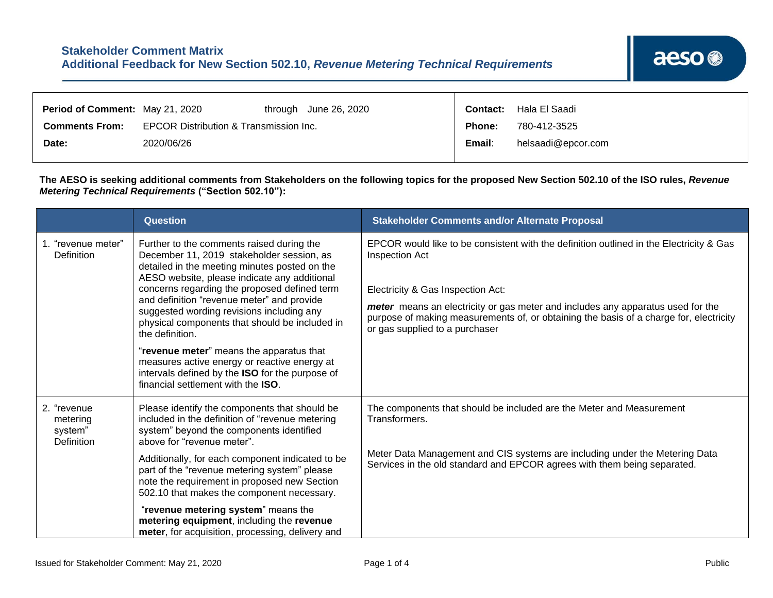| <b>Period of Comment: May 21, 2020</b> |                                        |  | through June 26, 2020 | Contact:           | Hala El Saadi |
|----------------------------------------|----------------------------------------|--|-----------------------|--------------------|---------------|
| <b>Comments From:</b>                  | EPCOR Distribution & Transmission Inc. |  | Phone:                | 780-412-3525       |               |
| Date:                                  | 2020/06/26                             |  | Email:                | helsaadi@epcor.com |               |

Т

**The AESO is seeking additional comments from Stakeholders on the following topics for the proposed New Section 502.10 of the ISO rules,** *Revenue Metering Technical Requirements* **("Section 502.10"):**

|                                                  | <b>Question</b>                                                                                                                                                                                                                                                                                                                                                                                                                                                                                                                                                                              | <b>Stakeholder Comments and/or Alternate Proposal</b>                                                                                                                                                                                                                                                                                                         |
|--------------------------------------------------|----------------------------------------------------------------------------------------------------------------------------------------------------------------------------------------------------------------------------------------------------------------------------------------------------------------------------------------------------------------------------------------------------------------------------------------------------------------------------------------------------------------------------------------------------------------------------------------------|---------------------------------------------------------------------------------------------------------------------------------------------------------------------------------------------------------------------------------------------------------------------------------------------------------------------------------------------------------------|
| 1. "revenue meter"<br>Definition                 | Further to the comments raised during the<br>December 11, 2019 stakeholder session, as<br>detailed in the meeting minutes posted on the<br>AESO website, please indicate any additional<br>concerns regarding the proposed defined term<br>and definition "revenue meter" and provide<br>suggested wording revisions including any<br>physical components that should be included in<br>the definition.<br>"revenue meter" means the apparatus that<br>measures active energy or reactive energy at<br>intervals defined by the ISO for the purpose of<br>financial settlement with the ISO. | EPCOR would like to be consistent with the definition outlined in the Electricity & Gas<br>Inspection Act<br>Electricity & Gas Inspection Act:<br>meter means an electricity or gas meter and includes any apparatus used for the<br>purpose of making measurements of, or obtaining the basis of a charge for, electricity<br>or gas supplied to a purchaser |
| 2. "revenue<br>metering<br>system"<br>Definition | Please identify the components that should be<br>included in the definition of "revenue metering<br>system" beyond the components identified<br>above for "revenue meter".<br>Additionally, for each component indicated to be<br>part of the "revenue metering system" please<br>note the requirement in proposed new Section<br>502.10 that makes the component necessary.<br>"revenue metering system" means the<br>metering equipment, including the revenue<br>meter, for acquisition, processing, delivery and                                                                         | The components that should be included are the Meter and Measurement<br>Transformers.<br>Meter Data Management and CIS systems are including under the Metering Data<br>Services in the old standard and EPCOR agrees with them being separated.                                                                                                              |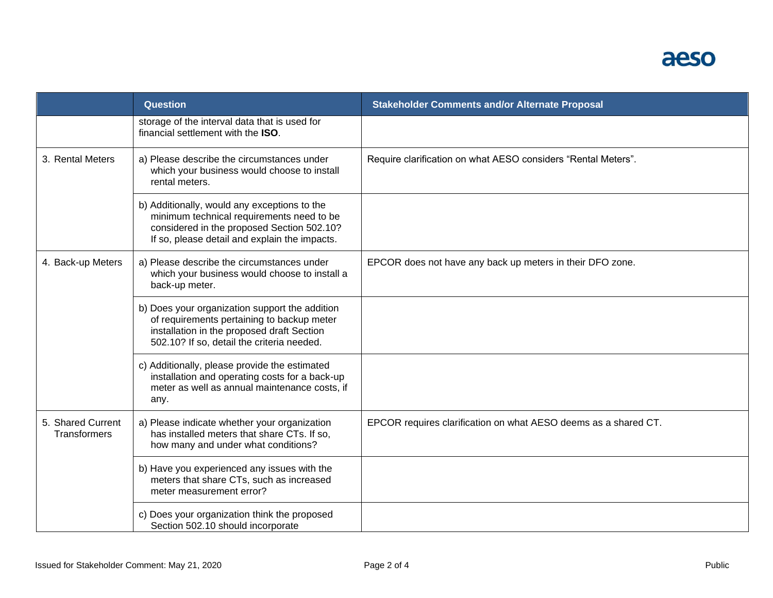## aeso

|                                          | <b>Question</b>                                                                                                                                                                          | <b>Stakeholder Comments and/or Alternate Proposal</b>           |
|------------------------------------------|------------------------------------------------------------------------------------------------------------------------------------------------------------------------------------------|-----------------------------------------------------------------|
|                                          | storage of the interval data that is used for<br>financial settlement with the ISO.                                                                                                      |                                                                 |
| 3. Rental Meters                         | a) Please describe the circumstances under<br>which your business would choose to install<br>rental meters.                                                                              | Require clarification on what AESO considers "Rental Meters".   |
|                                          | b) Additionally, would any exceptions to the<br>minimum technical requirements need to be<br>considered in the proposed Section 502.10?<br>If so, please detail and explain the impacts. |                                                                 |
| 4. Back-up Meters                        | a) Please describe the circumstances under<br>which your business would choose to install a<br>back-up meter.                                                                            | EPCOR does not have any back up meters in their DFO zone.       |
|                                          | b) Does your organization support the addition<br>of requirements pertaining to backup meter<br>installation in the proposed draft Section<br>502.10? If so, detail the criteria needed. |                                                                 |
|                                          | c) Additionally, please provide the estimated<br>installation and operating costs for a back-up<br>meter as well as annual maintenance costs, if<br>any.                                 |                                                                 |
| 5. Shared Current<br><b>Transformers</b> | a) Please indicate whether your organization<br>has installed meters that share CTs. If so,<br>how many and under what conditions?                                                       | EPCOR requires clarification on what AESO deems as a shared CT. |
|                                          | b) Have you experienced any issues with the<br>meters that share CTs, such as increased<br>meter measurement error?                                                                      |                                                                 |
|                                          | c) Does your organization think the proposed<br>Section 502.10 should incorporate                                                                                                        |                                                                 |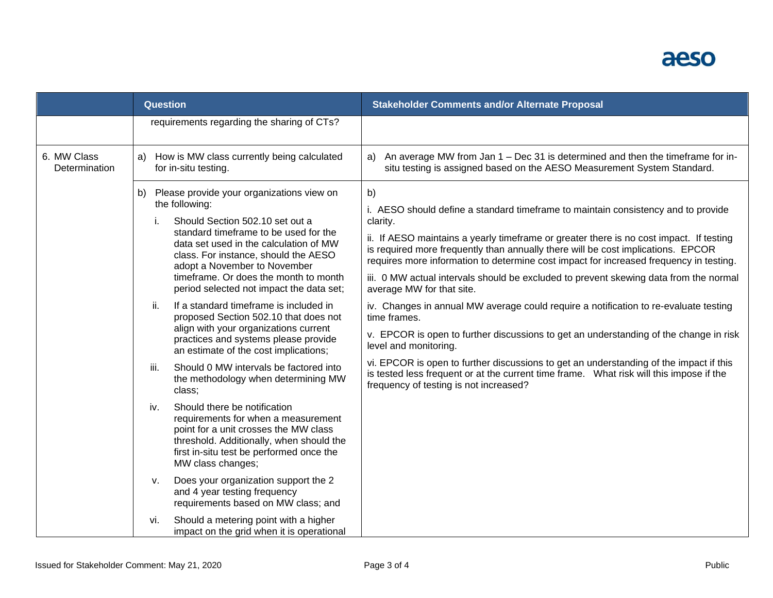## aeso

|                              | <b>Question</b>                                                                                                                                                                                                                                                                                                                                                                                                                                                                                                                                                                                                                                                                                                                                                                                                                                                                                                                                                                                                                            | <b>Stakeholder Comments and/or Alternate Proposal</b>                                                                                                                                                                                                                                                                                                                                                                                                                                                                                                                                                                                                                                                                                                                                                                                                                                                                                                       |
|------------------------------|--------------------------------------------------------------------------------------------------------------------------------------------------------------------------------------------------------------------------------------------------------------------------------------------------------------------------------------------------------------------------------------------------------------------------------------------------------------------------------------------------------------------------------------------------------------------------------------------------------------------------------------------------------------------------------------------------------------------------------------------------------------------------------------------------------------------------------------------------------------------------------------------------------------------------------------------------------------------------------------------------------------------------------------------|-------------------------------------------------------------------------------------------------------------------------------------------------------------------------------------------------------------------------------------------------------------------------------------------------------------------------------------------------------------------------------------------------------------------------------------------------------------------------------------------------------------------------------------------------------------------------------------------------------------------------------------------------------------------------------------------------------------------------------------------------------------------------------------------------------------------------------------------------------------------------------------------------------------------------------------------------------------|
|                              | requirements regarding the sharing of CTs?                                                                                                                                                                                                                                                                                                                                                                                                                                                                                                                                                                                                                                                                                                                                                                                                                                                                                                                                                                                                 |                                                                                                                                                                                                                                                                                                                                                                                                                                                                                                                                                                                                                                                                                                                                                                                                                                                                                                                                                             |
| 6. MW Class<br>Determination | How is MW class currently being calculated<br>a)<br>for in-situ testing.                                                                                                                                                                                                                                                                                                                                                                                                                                                                                                                                                                                                                                                                                                                                                                                                                                                                                                                                                                   | An average MW from Jan 1 – Dec 31 is determined and then the timeframe for in-<br>a)<br>situ testing is assigned based on the AESO Measurement System Standard.                                                                                                                                                                                                                                                                                                                                                                                                                                                                                                                                                                                                                                                                                                                                                                                             |
|                              | Please provide your organizations view on<br>b)<br>the following:<br>Should Section 502.10 set out a<br>i.<br>standard timeframe to be used for the<br>data set used in the calculation of MW<br>class. For instance, should the AESO<br>adopt a November to November<br>timeframe. Or does the month to month<br>period selected not impact the data set;<br>If a standard timeframe is included in<br>ii.<br>proposed Section 502.10 that does not<br>align with your organizations current<br>practices and systems please provide<br>an estimate of the cost implications;<br>Should 0 MW intervals be factored into<br>iii.<br>the methodology when determining MW<br>class;<br>Should there be notification<br>iv.<br>requirements for when a measurement<br>point for a unit crosses the MW class<br>threshold. Additionally, when should the<br>first in-situ test be performed once the<br>MW class changes;<br>Does your organization support the 2<br>v.<br>and 4 year testing frequency<br>requirements based on MW class; and | b)<br>i. AESO should define a standard timeframe to maintain consistency and to provide<br>clarity.<br>ii. If AESO maintains a yearly timeframe or greater there is no cost impact. If testing<br>is required more frequently than annually there will be cost implications. EPCOR<br>requires more information to determine cost impact for increased frequency in testing.<br>iii. 0 MW actual intervals should be excluded to prevent skewing data from the normal<br>average MW for that site.<br>iv. Changes in annual MW average could require a notification to re-evaluate testing<br>time frames.<br>v. EPCOR is open to further discussions to get an understanding of the change in risk<br>level and monitoring.<br>vi. EPCOR is open to further discussions to get an understanding of the impact if this<br>is tested less frequent or at the current time frame. What risk will this impose if the<br>frequency of testing is not increased? |
|                              | Should a metering point with a higher<br>vi.<br>impact on the grid when it is operational                                                                                                                                                                                                                                                                                                                                                                                                                                                                                                                                                                                                                                                                                                                                                                                                                                                                                                                                                  |                                                                                                                                                                                                                                                                                                                                                                                                                                                                                                                                                                                                                                                                                                                                                                                                                                                                                                                                                             |